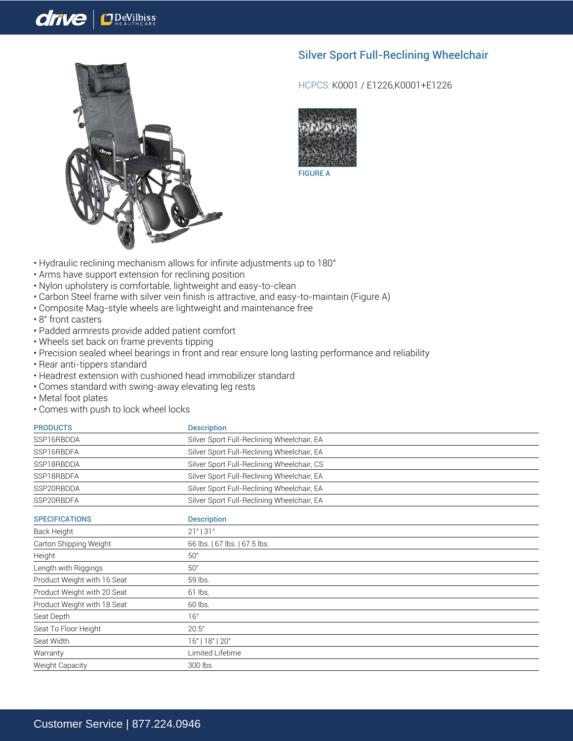## **J**DeVilbiss

## Silver Sport Full-Reclining Wheelchair



HCPCS: K0001 / E1226,K0001+E1226



• Hydraulic reclining mechanism allows for infinite adjustments up to 180°

- Arms have support extension for reclining position
- Nylon upholstery is comfortable, lightweight and easy-to-clean
- Carbon Steel frame with silver vein finish is attractive, and easy-to-maintain (Figure A)
- Composite Mag-style wheels are lightweight and maintenance free
- 8" front casters

drive

- Padded armrests provide added patient comfort
- Wheels set back on frame prevents tipping
- Precision sealed wheel bearings in front and rear ensure long lasting performance and reliability
- Rear anti-tippers standard
- Headrest extension with cushioned head immobilizer standard
- Comes standard with swing-away elevating leg rests
- Metal foot plates
- Comes with push to lock wheel locks

| <b>PRODUCTS</b>             | <b>Description</b>                         |
|-----------------------------|--------------------------------------------|
| SSP16RBDDA                  | Silver Sport Full-Reclining Wheelchair, EA |
| SSP16RBDFA                  | Silver Sport Full-Reclining Wheelchair, EA |
| SSP18RBDDA                  | Silver Sport Full-Reclining Wheelchair, CS |
| SSP18RBDFA                  | Silver Sport Full-Reclining Wheelchair, EA |
| SSP20RBDDA                  | Silver Sport Full-Reclining Wheelchair, EA |
| SSP20RBDFA                  | Silver Sport Full-Reclining Wheelchair, EA |
| <b>SPECIFICATIONS</b>       | <b>Description</b>                         |
| Back Height                 | $21"$   31"                                |
| Carton Shipping Weight      | 66 lbs.   67 lbs.   67.5 lbs.              |
| Height                      | 50"                                        |
| Length with Riggings        | 50"                                        |
| Product Weight with 16 Seat | 59 lbs.                                    |
| Product Weight with 20 Seat | 61 lbs.                                    |
| Product Weight with 18 Seat | 60 lbs.                                    |
| Seat Depth                  | 16"                                        |
| Seat To Floor Height        | 20.5"                                      |
| Seat Width                  | 16"   18"   20"                            |
| Warranty                    | Limited Lifetime                           |
| Weight Capacity             | 300 lbs                                    |